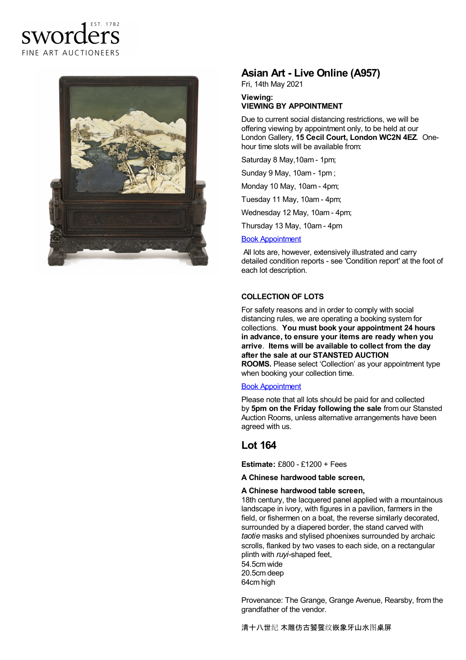# sworders FINE ART AUCTIONEERS



# **Asian Art - Live Online (A957)**

Fri, 14th May 2021

**Viewing: VIEWING BY APPOINTMENT**

Due to current social distancing restrictions, we will be offering viewing by appointment only, to be held at our London Gallery, **15 Cecil Court, London WC2N 4EZ**. Onehour time slots will be available from:

Saturday 8 May,10am - 1pm;

Sunday 9 May, 10am - 1pm ;

Monday 10 May, 10am - 4pm;

Tuesday 11 May, 10am - 4pm;

Wednesday 12 May, 10am - 4pm;

Thursday 13 May, 10am - 4pm

#### Book [Appointment](/appointments)

All lots are, however, extensively illustrated and carry detailed condition reports - see 'Condition report' at the foot of each lot description.

## **COLLECTION OF LOTS**

For safety reasons and in order to comply with social distancing rules, we are operating a booking system for collections. **You must book your appointment 24 hours in advance, to ensure your items are ready when you arrive**. **Items will be available to collect from the day after the sale at our STANSTED AUCTION ROOMS.** Please select 'Collection' as your appointment type when booking your collection time.

### Book [Appointment](/appointments)

Please note that all lots should be paid for and collected by **5pm on the Friday following the sale** from our Stansted Auction Rooms, unless alternative arrangements have been agreed with us.

## **Lot 164**

**Estimate:** £800 - £1200 + Fees

**A Chinese hardwood table screen,**

#### **A Chinese hardwood table screen,**

18th century, the lacquered panel applied with a mountainous landscape in ivory, with figures in a pavilion, farmers in the field, or fishermen on a boat, the reverse similarly decorated, surrounded by a diapered border, the stand carved with *taotie* masks and stylised phoenixes surrounded by archaic scrolls, flanked by two vases to each side, on a rectangular plinth with *ruyi-*shaped feet, 54.5cm wide

20.5cm deep 64cm high

Provenance: The Grange, Grange Avenue, Rearsby, from the grandfather of the vendor.

清十八世纪 木雕仿古饕餮纹嵌象牙山水图桌屏